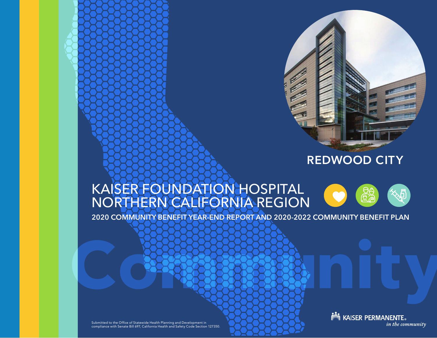

# **REDWOOD CITY**

# KAISER FOUNDATION HOSPITAL NORTHERN CALIFORNIA REGION

2020 COMMUNITY BENEFIT YEAR-END REPORT AND 2020-2022 COMMUNITY BENEFIT PLAN

**Community** 

Submitted to the Office of Statewide Health Planning and Development in compliance with Senate Bill 697, California Health and Safety Code Section 127350. **Note ASSER PERMANENTE.** in the community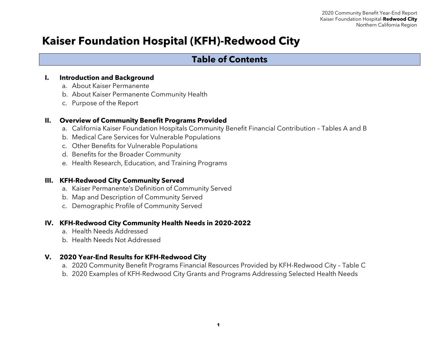# **Kaiser Foundation Hospital (KFH)-Redwood City**

# **Table of Contents**

#### **I. Introduction and Background**

- a. About Kaiser Permanente
- b. About Kaiser Permanente Community Health
- c. Purpose of the Report

#### **II. Overview of Community Benefit Programs Provided**

- a. California Kaiser Foundation Hospitals Community Benefit Financial Contribution Tables A and B
- b. Medical Care Services for Vulnerable Populations
- c. Other Benefits for Vulnerable Populations
- d. Benefits for the Broader Community
- e. Health Research, Education, and Training Programs

#### **III. KFH-Redwood City Community Served**

- a. Kaiser Permanente's Definition of Community Served
- b. Map and Description of Community Served
- c. Demographic Profile of Community Served

#### **IV. KFH-Redwood City Community Health Needs in 2020-2022**

- a. Health Needs Addressed
- b. Health Needs Not Addressed

#### **V. 2020 Year-End Results for KFH-Redwood City**

- a. 2020 Community Benefit Programs Financial Resources Provided by KFH-Redwood City Table C
- b. 2020 Examples of KFH-Redwood City Grants and Programs Addressing Selected Health Needs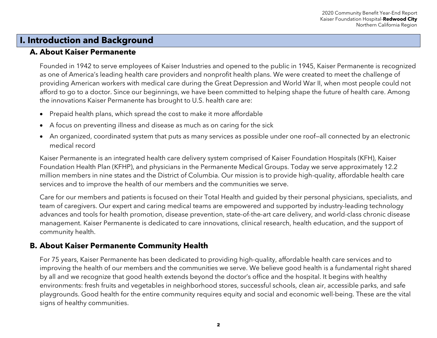# **I. Introduction and Background**

### **A. About Kaiser Permanente**

Founded in 1942 to serve employees of Kaiser Industries and opened to the public in 1945, Kaiser Permanente is recognized as one of America's leading health care providers and nonprofit health plans. We were created to meet the challenge of providing American workers with medical care during the Great Depression and World War II, when most people could not afford to go to a doctor. Since our beginnings, we have been committed to helping shape the future of health care. Among the innovations Kaiser Permanente has brought to U.S. health care are:

- Prepaid health plans, which spread the cost to make it more affordable
- A focus on preventing illness and disease as much as on caring for the sick
- An organized, coordinated system that puts as many services as possible under one roof—all connected by an electronic medical record

Kaiser Permanente is an integrated health care delivery system comprised of Kaiser Foundation Hospitals (KFH), Kaiser Foundation Health Plan (KFHP), and physicians in the Permanente Medical Groups. Today we serve approximately 12.2 million members in nine states and the District of Columbia. Our mission is to provide high-quality, affordable health care services and to improve the health of our members and the communities we serve.

Care for our members and patients is focused on their Total Health and guided by their personal physicians, specialists, and team of caregivers. Our expert and caring medical teams are empowered and supported by industry-leading technology advances and tools for health promotion, disease prevention, state-of-the-art care delivery, and world-class chronic disease management. Kaiser Permanente is dedicated to care innovations, clinical research, health education, and the support of community health.

## **B. About Kaiser Permanente Community Health**

For 75 years, Kaiser Permanente has been dedicated to providing high-quality, affordable health care services and to improving the health of our members and the communities we serve. We believe good health is a fundamental right shared by all and we recognize that good health extends beyond the doctor's office and the hospital. It begins with healthy environments: fresh fruits and vegetables in neighborhood stores, successful schools, clean air, accessible parks, and safe playgrounds. Good health for the entire community requires equity and social and economic well-being. These are the vital signs of healthy communities.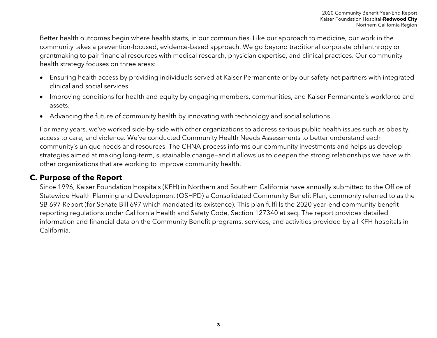Better health outcomes begin where health starts, in our communities. Like our approach to medicine, our work in the community takes a prevention-focused, evidence-based approach. We go beyond traditional corporate philanthropy or grantmaking to pair financial resources with medical research, physician expertise, and clinical practices. Our community health strategy focuses on three areas:

- Ensuring health access by providing individuals served at Kaiser Permanente or by our safety net partners with integrated clinical and social services.
- Improving conditions for health and equity by engaging members, communities, and Kaiser Permanente's workforce and assets.
- Advancing the future of community health by innovating with technology and social solutions.

For many years, we've worked side-by-side with other organizations to address serious public health issues such as obesity, access to care, and violence. We've conducted Community Health Needs Assessments to better understand each community's unique needs and resources. The CHNA process informs our community investments and helps us develop strategies aimed at making long-term, sustainable change—and it allows us to deepen the strong relationships we have with other organizations that are working to improve community health.

### **C. Purpose of the Report**

Since 1996, Kaiser Foundation Hospitals (KFH) in Northern and Southern California have annually submitted to the Office of Statewide Health Planning and Development (OSHPD) a Consolidated Community Benefit Plan, commonly referred to as the SB 697 Report (for Senate Bill 697 which mandated its existence). This plan fulfills the 2020 year-end community benefit reporting regulations under California Health and Safety Code, Section 127340 et seq. The report provides detailed information and financial data on the Community Benefit programs, services, and activities provided by all KFH hospitals in California.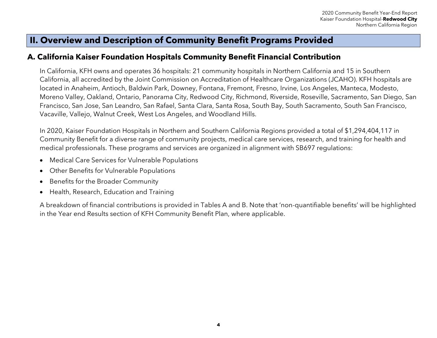# **II. Overview and Description of Community Benefit Programs Provided**

### **A. California Kaiser Foundation Hospitals Community Benefit Financial Contribution**

In California, KFH owns and operates 36 hospitals: 21 community hospitals in Northern California and 15 in Southern California, all accredited by the Joint Commission on Accreditation of Healthcare Organizations (JCAHO). KFH hospitals are located in Anaheim, Antioch, Baldwin Park, Downey, Fontana, Fremont, Fresno, Irvine, Los Angeles, Manteca, Modesto, Moreno Valley, Oakland, Ontario, Panorama City, Redwood City, Richmond, Riverside, Roseville, Sacramento, San Diego, San Francisco, San Jose, San Leandro, San Rafael, Santa Clara, Santa Rosa, South Bay, South Sacramento, South San Francisco, Vacaville, Vallejo, Walnut Creek, West Los Angeles, and Woodland Hills.

In 2020, Kaiser Foundation Hospitals in Northern and Southern California Regions provided a total of \$1,294,404,117 in Community Benefit for a diverse range of community projects, medical care services, research, and training for health and medical professionals. These programs and services are organized in alignment with SB697 regulations:

- Medical Care Services for Vulnerable Populations
- Other Benefits for Vulnerable Populations
- Benefits for the Broader Community
- Health, Research, Education and Training

A breakdown of financial contributions is provided in Tables A and B. Note that 'non-quantifiable benefits' will be highlighted in the Year end Results section of KFH Community Benefit Plan, where applicable.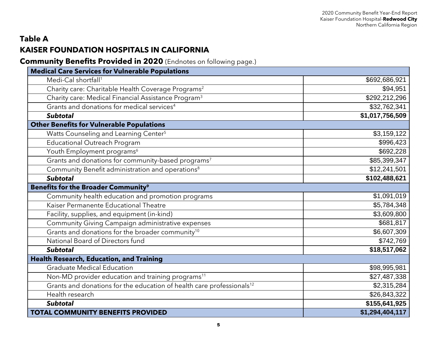# **Table A KAISER FOUNDATION HOSPITALS IN CALIFORNIA**

**Community Benefits Provided in 2020** (Endnotes on following page.)

| <b>Medical Care Services for Vulnerable Populations</b>                           |                 |
|-----------------------------------------------------------------------------------|-----------------|
| Medi-Cal shortfall <sup>1</sup>                                                   | \$692,686,921   |
| Charity care: Charitable Health Coverage Programs <sup>2</sup>                    | \$94,951        |
| Charity care: Medical Financial Assistance Program <sup>3</sup>                   | \$292,212,296   |
| Grants and donations for medical services <sup>4</sup>                            | \$32,762,341    |
| <b>Subtotal</b>                                                                   | \$1,017,756,509 |
| <b>Other Benefits for Vulnerable Populations</b>                                  |                 |
| Watts Counseling and Learning Center <sup>5</sup>                                 | \$3,159,122     |
| <b>Educational Outreach Program</b>                                               | \$996,423       |
| Youth Employment programs <sup>6</sup>                                            | \$692,228       |
| Grants and donations for community-based programs <sup>7</sup>                    | \$85,399,347    |
| Community Benefit administration and operations <sup>8</sup>                      | \$12,241,501    |
| <b>Subtotal</b>                                                                   | \$102,488,621   |
| <b>Benefits for the Broader Community<sup>9</sup></b>                             |                 |
| Community health education and promotion programs                                 | \$1,091,019     |
| Kaiser Permanente Educational Theatre                                             | \$5,784,348     |
| Facility, supplies, and equipment (in-kind)                                       | \$3,609,800     |
| Community Giving Campaign administrative expenses                                 | \$681,817       |
| Grants and donations for the broader community <sup>10</sup>                      | \$6,607,309     |
| National Board of Directors fund                                                  | \$742,769       |
| <b>Subtotal</b>                                                                   | \$18,517,062    |
| <b>Health Research, Education, and Training</b>                                   |                 |
| <b>Graduate Medical Education</b>                                                 | \$98,995,981    |
| Non-MD provider education and training programs <sup>11</sup>                     | \$27,487,338    |
| Grants and donations for the education of health care professionals <sup>12</sup> | \$2,315,284     |
| Health research                                                                   | \$26,843,322    |
| <b>Subtotal</b>                                                                   | \$155,641,925   |
| <b>TOTAL COMMUNITY BENEFITS PROVIDED</b>                                          | \$1,294,404,117 |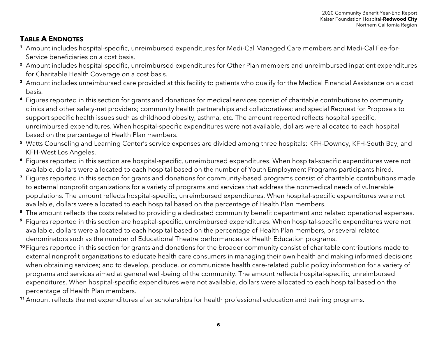# **TABLE A ENDNOTES**

- **<sup>1</sup>** Amount includes hospital-specific, unreimbursed expenditures for Medi-Cal Managed Care members and Medi-Cal Fee-for-Service beneficiaries on a cost basis.
- **<sup>2</sup>** Amount includes hospital-specific, unreimbursed expenditures for Other Plan members and unreimbursed inpatient expenditures for Charitable Health Coverage on a cost basis.
- <sup>3</sup> Amount includes unreimbursed care provided at this facility to patients who qualify for the Medical Financial Assistance on a cost basis.
- **<sup>4</sup>** Figures reported in this section for grants and donations for medical services consist of charitable contributions to community clinics and other safety-net providers; community health partnerships and collaboratives; and special Request for Proposals to support specific health issues such as childhood obesity, asthma, etc. The amount reported reflects hospital-specific, unreimbursed expenditures. When hospital-specific expenditures were not available, dollars were allocated to each hospital based on the percentage of Health Plan members.
- **<sup>5</sup>** Watts Counseling and Learning Center's service expenses are divided among three hospitals: KFH-Downey, KFH-South Bay, and KFH-West Los Angeles.
- **<sup>6</sup>** Figures reported in this section are hospital-specific, unreimbursed expenditures. When hospital-specific expenditures were not available, dollars were allocated to each hospital based on the number of Youth Employment Programs participants hired.
- **<sup>7</sup>** Figures reported in this section for grants and donations for community-based programs consist of charitable contributions made to external nonprofit organizations for a variety of programs and services that address the nonmedical needs of vulnerable populations. The amount reflects hospital-specific, unreimbursed expenditures. When hospital-specific expenditures were not available, dollars were allocated to each hospital based on the percentage of Health Plan members.
- <sup>8</sup> The amount reflects the costs related to providing a dedicated community benefit department and related operational expenses.
- **<sup>9</sup>** Figures reported in this section are hospital-specific, unreimbursed expenditures. When hospital-specific expenditures were not available, dollars were allocated to each hospital based on the percentage of Health Plan members, or several related denominators such as the number of Educational Theatre performances or Health Education programs.
- **<sup>10</sup>** Figures reported in this section for grants and donations for the broader community consist of charitable contributions made to external nonprofit organizations to educate health care consumers in managing their own health and making informed decisions when obtaining services; and to develop, produce, or communicate health care-related public policy information for a variety of programs and services aimed at general well-being of the community. The amount reflects hospital-specific, unreimbursed expenditures. When hospital-specific expenditures were not available, dollars were allocated to each hospital based on the percentage of Health Plan members.
- **<sup>11</sup>** Amount reflects the net expenditures after scholarships for health professional education and training programs.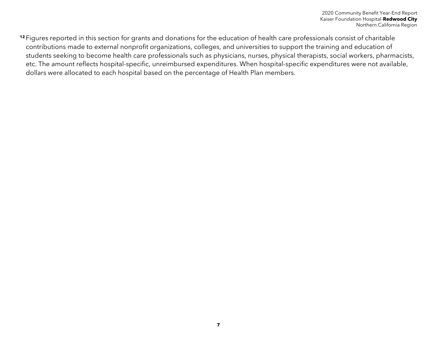**<sup>12</sup>** Figures reported in this section for grants and donations for the education of health care professionals consist of charitable contributions made to external nonprofit organizations, colleges, and universities to support the training and education of students seeking to become health care professionals such as physicians, nurses, physical therapists, social workers, pharmacists, etc. The amount reflects hospital-specific, unreimbursed expenditures. When hospital-specific expenditures were not available, dollars were allocated to each hospital based on the percentage of Health Plan members.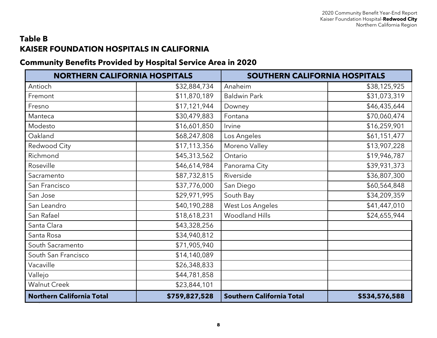# **Table B KAISER FOUNDATION HOSPITALS IN CALIFORNIA**

# **Community Benefits Provided by Hospital Service Area in 2020**

| <b>NORTHERN CALIFORNIA HOSPITALS</b> |               | SOUTHERN CALIFORNIA HOSPITALS    |               |
|--------------------------------------|---------------|----------------------------------|---------------|
| Antioch                              | \$32,884,734  | Anaheim                          | \$38,125,925  |
| Fremont                              | \$11,870,189  | <b>Baldwin Park</b>              | \$31,073,319  |
| Fresno                               | \$17,121,944  | Downey                           | \$46,435,644  |
| Manteca                              | \$30,479,883  | Fontana                          | \$70,060,474  |
| Modesto                              | \$16,601,850  | Irvine                           | \$16,259,901  |
| Oakland                              | \$68,247,808  | Los Angeles                      | \$61,151,477  |
| Redwood City                         | \$17,113,356  | Moreno Valley                    | \$13,907,228  |
| Richmond                             | \$45,313,562  | Ontario                          | \$19,946,787  |
| Roseville                            | \$46,614,984  | Panorama City                    | \$39,931,373  |
| Sacramento                           | \$87,732,815  | Riverside                        | \$36,807,300  |
| San Francisco                        | \$37,776,000  | San Diego                        | \$60,564,848  |
| San Jose                             | \$29,971,995  | South Bay                        | \$34,209,359  |
| San Leandro                          | \$40,190,288  | West Los Angeles                 | \$41,447,010  |
| San Rafael                           | \$18,618,231  | <b>Woodland Hills</b>            | \$24,655,944  |
| Santa Clara                          | \$43,328,256  |                                  |               |
| Santa Rosa                           | \$34,940,812  |                                  |               |
| South Sacramento                     | \$71,905,940  |                                  |               |
| South San Francisco                  | \$14,140,089  |                                  |               |
| Vacaville                            | \$26,348,833  |                                  |               |
| Vallejo                              | \$44,781,858  |                                  |               |
| <b>Walnut Creek</b>                  | \$23,844,101  |                                  |               |
| <b>Northern California Total</b>     | \$759,827,528 | <b>Southern California Total</b> | \$534,576,588 |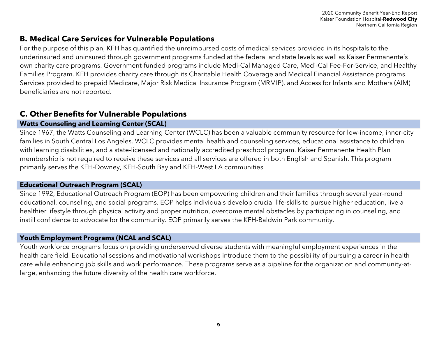### **B. Medical Care Services for Vulnerable Populations**

For the purpose of this plan, KFH has quantified the unreimbursed costs of medical services provided in its hospitals to the underinsured and uninsured through government programs funded at the federal and state levels as well as Kaiser Permanente's own charity care programs. Government-funded programs include Medi-Cal Managed Care, Medi-Cal Fee-For-Service, and Healthy Families Program. KFH provides charity care through its Charitable Health Coverage and Medical Financial Assistance programs. Services provided to prepaid Medicare, Major Risk Medical Insurance Program (MRMIP), and Access for Infants and Mothers (AIM) beneficiaries are not reported.

# **C. Other Benefits for Vulnerable Populations**

### **Watts Counseling and Learning Center (SCAL)**

Since 1967, the Watts Counseling and Learning Center (WCLC) has been a valuable community resource for low-income, inner-city families in South Central Los Angeles. WCLC provides mental health and counseling services, educational assistance to children with learning disabilities, and a state-licensed and nationally accredited preschool program. Kaiser Permanente Health Plan membership is not required to receive these services and all services are offered in both English and Spanish. This program primarily serves the KFH-Downey, KFH-South Bay and KFH-West LA communities.

#### **Educational Outreach Program (SCAL)**

Since 1992, Educational Outreach Program (EOP) has been empowering children and their families through several year-round educational, counseling, and social programs. EOP helps individuals develop crucial life-skills to pursue higher education, live a healthier lifestyle through physical activity and proper nutrition, overcome mental obstacles by participating in counseling, and instill confidence to advocate for the community. EOP primarily serves the KFH-Baldwin Park community.

### **Youth Employment Programs (NCAL and SCAL)**

Youth workforce programs focus on providing underserved diverse students with meaningful employment experiences in the health care field. Educational sessions and motivational workshops introduce them to the possibility of pursuing a career in health care while enhancing job skills and work performance. These programs serve as a pipeline for the organization and community-atlarge, enhancing the future diversity of the health care workforce.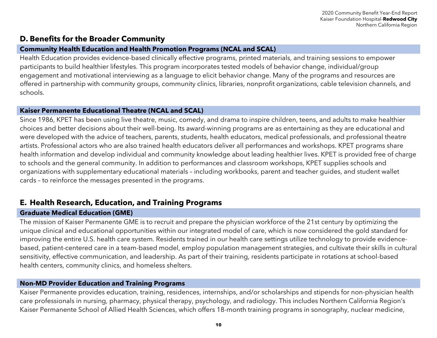### **D. Benefits for the Broader Community**

#### **Community Health Education and Health Promotion Programs (NCAL and SCAL)**

Health Education provides evidence-based clinically effective programs, printed materials, and training sessions to empower participants to build healthier lifestyles. This program incorporates tested models of behavior change, individual/group engagement and motivational interviewing as a language to elicit behavior change. Many of the programs and resources are offered in partnership with community groups, community clinics, libraries, nonprofit organizations, cable television channels, and schools.

#### **Kaiser Permanente Educational Theatre (NCAL and SCAL)**

Since 1986, KPET has been using live theatre, music, comedy, and drama to inspire children, teens, and adults to make healthier choices and better decisions about their well-being. Its award-winning programs are as entertaining as they are educational and were developed with the advice of teachers, parents, students, health educators, medical professionals, and professional theatre artists. Professional actors who are also trained health educators deliver all performances and workshops. KPET programs share health information and develop individual and community knowledge about leading healthier lives. KPET is provided free of charge to schools and the general community. In addition to performances and classroom workshops, KPET supplies schools and organizations with supplementary educational materials – including workbooks, parent and teacher guides, and student wallet cards – to reinforce the messages presented in the programs.

### **E. Health Research, Education, and Training Programs**

#### **Graduate Medical Education (GME)**

The mission of Kaiser Permanente GME is to recruit and prepare the physician workforce of the 21st century by optimizing the unique clinical and educational opportunities within our integrated model of care, which is now considered the gold standard for improving the entire U.S. health care system. Residents trained in our health care settings utilize technology to provide evidencebased, patient-centered care in a team-based model, employ population management strategies, and cultivate their skills in cultural sensitivity, effective communication, and leadership. As part of their training, residents participate in rotations at school-based health centers, community clinics, and homeless shelters.

#### **Non-MD Provider Education and Training Programs**

Kaiser Permanente provides education, training, residences, internships, and/or scholarships and stipends for non-physician health care professionals in nursing, pharmacy, physical therapy, psychology, and radiology. This includes Northern California Region's Kaiser Permanente School of Allied Health Sciences, which offers 18-month training programs in sonography, nuclear medicine,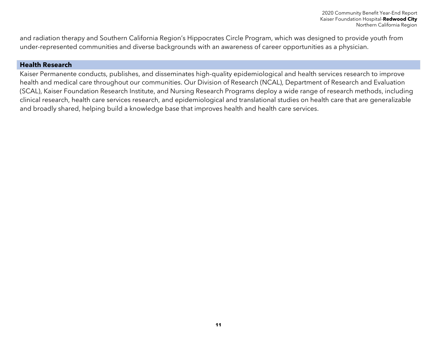and radiation therapy and Southern California Region's Hippocrates Circle Program, which was designed to provide youth from under-represented communities and diverse backgrounds with an awareness of career opportunities as a physician.

#### **Health Research**

Kaiser Permanente conducts, publishes, and disseminates high-quality epidemiological and health services research to improve health and medical care throughout our communities. Our Division of Research (NCAL), Department of Research and Evaluation (SCAL), Kaiser Foundation Research Institute, and Nursing Research Programs deploy a wide range of research methods, including clinical research, health care services research, and epidemiological and translational studies on health care that are generalizable and broadly shared, helping build a knowledge base that improves health and health care services.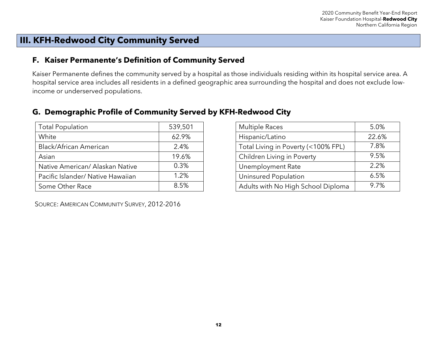# **III. KFH-Redwood City Community Served**

### **F. Kaiser Permanente's Definition of Community Served**

Kaiser Permanente defines the community served by a hospital as those individuals residing within its hospital service area. A hospital service area includes all residents in a defined geographic area surrounding the hospital and does not exclude lowincome or underserved populations.

| <b>Total Population</b>           | 539,501 |
|-----------------------------------|---------|
| White                             | 62.9%   |
| Black/African American            | 2.4%    |
| Asian                             | 19.6%   |
| Native American/ Alaskan Native   | 0.3%    |
| Pacific Islander/ Native Hawaiian | 1.2%    |
| Some Other Race                   | 8.5%    |

### **G. Demographic Profile of Community Served by KFH-Redwood City**

| <b>Multiple Races</b>               | 5.0%  |
|-------------------------------------|-------|
| Hispanic/Latino                     | 22.6% |
| Total Living in Poverty (<100% FPL) | 7.8%  |
| Children Living in Poverty          | 9.5%  |
| Unemployment Rate                   | 2.2%  |
| Uninsured Population                | 6.5%  |
| Adults with No High School Diploma  | 9.7%  |

SOURCE: AMERICAN COMMUNITY SURVEY, 2012-2016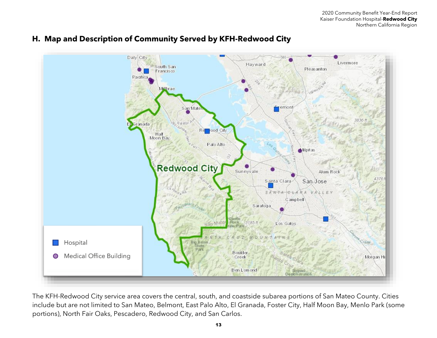

#### **H. Map and Description of Community Served by KFH-Redwood City**

The KFH-Redwood City service area covers the central, south, and coastside subarea portions of San Mateo County. Cities include but are not limited to San Mateo, Belmont, East Palo Alto, El Granada, Foster City, Half Moon Bay, Menlo Park (some portions), North Fair Oaks, Pescadero, Redwood City, and San Carlos.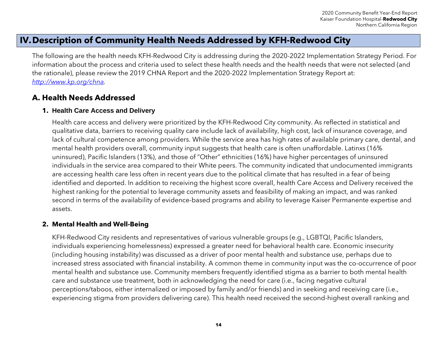# **IV.Description of Community Health Needs Addressed by KFH-Redwood City**

The following are the health needs KFH-Redwood City is addressing during the 2020-2022 Implementation Strategy Period. For information about the process and criteria used to select these health needs and the health needs that were not selected (and the rationale), please review the 2019 CHNA Report and the 2020-2022 Implementation Strategy Report at: *[http://www.kp.org/chna.](http://www.kp.org/chna)*

# **A. Health Needs Addressed**

#### **1. Health Care Access and Delivery**

Health care access and delivery were prioritized by the KFH-Redwood City community. As reflected in statistical and qualitative data, barriers to receiving quality care include lack of availability, high cost, lack of insurance coverage, and lack of cultural competence among providers. While the service area has high rates of available primary care, dental, and mental health providers overall, community input suggests that health care is often unaffordable. Latinxs (16% uninsured), Pacific Islanders (13%), and those of "Other" ethnicities (16%) have higher percentages of uninsured individuals in the service area compared to their White peers. The community indicated that undocumented immigrants are accessing health care less often in recent years due to the political climate that has resulted in a fear of being identified and deported. In addition to receiving the highest score overall, health Care Access and Delivery received the highest ranking for the potential to leverage community assets and feasibility of making an impact, and was ranked second in terms of the availability of evidence-based programs and ability to leverage Kaiser Permanente expertise and assets.

#### **2. Mental Health and Well-Being**

KFH-Redwood City residents and representatives of various vulnerable groups (e.g., LGBTQI, Pacific Islanders, individuals experiencing homelessness) expressed a greater need for behavioral health care. Economic insecurity (including housing instability) was discussed as a driver of poor mental health and substance use, perhaps due to increased stress associated with financial instability. A common theme in community input was the co-occurrence of poor mental health and substance use. Community members frequently identified stigma as a barrier to both mental health care and substance use treatment, both in acknowledging the need for care (i.e., facing negative cultural perceptions/taboos, either internalized or imposed by family and/or friends) and in seeking and receiving care (i.e., experiencing stigma from providers delivering care). This health need received the second-highest overall ranking and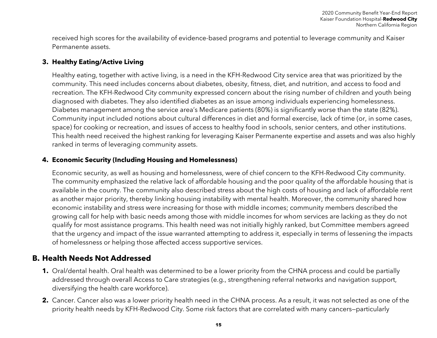received high scores for the availability of evidence-based programs and potential to leverage community and Kaiser Permanente assets.

#### **3. Healthy Eating/Active Living**

Healthy eating, together with active living, is a need in the KFH-Redwood City service area that was prioritized by the community. This need includes concerns about diabetes, obesity, fitness, diet, and nutrition, and access to food and recreation. The KFH-Redwood City community expressed concern about the rising number of children and youth being diagnosed with diabetes. They also identified diabetes as an issue among individuals experiencing homelessness. Diabetes management among the service area's Medicare patients (80%) is significantly worse than the state (82%). Community input included notions about cultural differences in diet and formal exercise, lack of time (or, in some cases, space) for cooking or recreation, and issues of access to healthy food in schools, senior centers, and other institutions. This health need received the highest ranking for leveraging Kaiser Permanente expertise and assets and was also highly ranked in terms of leveraging community assets.

#### **4. Economic Security (Including Housing and Homelessness)**

Economic security, as well as housing and homelessness, were of chief concern to the KFH-Redwood City community. The community emphasized the relative lack of affordable housing and the poor quality of the affordable housing that is available in the county. The community also described stress about the high costs of housing and lack of affordable rent as another major priority, thereby linking housing instability with mental health. Moreover, the community shared how economic instability and stress were increasing for those with middle incomes; community members described the growing call for help with basic needs among those with middle incomes for whom services are lacking as they do not qualify for most assistance programs. This health need was not initially highly ranked, but Committee members agreed that the urgency and impact of the issue warranted attempting to address it, especially in terms of lessening the impacts of homelessness or helping those affected access supportive services.

### **B. Health Needs Not Addressed**

- **1.** Oral/dental health. Oral health was determined to be a lower priority from the CHNA process and could be partially addressed through overall Access to Care strategies (e.g., strengthening referral networks and navigation support, diversifying the health care workforce).
- **2.** Cancer. Cancer also was a lower priority health need in the CHNA process. As a result, it was not selected as one of the priority health needs by KFH-Redwood City. Some risk factors that are correlated with many cancers—particularly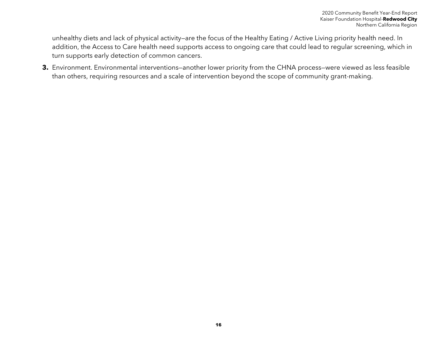unhealthy diets and lack of physical activity—are the focus of the Healthy Eating / Active Living priority health need. In addition, the Access to Care health need supports access to ongoing care that could lead to regular screening, which in turn supports early detection of common cancers.

**3.** Environment. Environmental interventions—another lower priority from the CHNA process—were viewed as less feasible than others, requiring resources and a scale of intervention beyond the scope of community grant-making.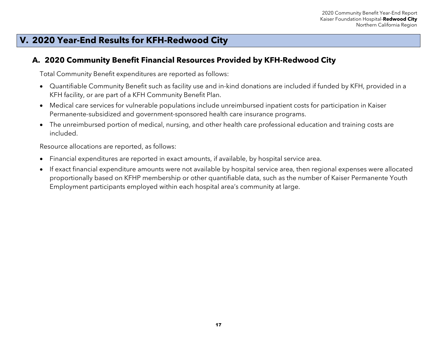# **V. 2020 Year-End Results for KFH-Redwood City**

### **A. 2020 Community Benefit Financial Resources Provided by KFH-Redwood City**

Total Community Benefit expenditures are reported as follows:

- Quantifiable Community Benefit such as facility use and in-kind donations are included if funded by KFH, provided in a KFH facility, or are part of a KFH Community Benefit Plan.
- Medical care services for vulnerable populations include unreimbursed inpatient costs for participation in Kaiser Permanente-subsidized and government-sponsored health care insurance programs.
- The unreimbursed portion of medical, nursing, and other health care professional education and training costs are included.

Resource allocations are reported, as follows:

- Financial expenditures are reported in exact amounts, if available, by hospital service area.
- If exact financial expenditure amounts were not available by hospital service area, then regional expenses were allocated proportionally based on KFHP membership or other quantifiable data, such as the number of Kaiser Permanente Youth Employment participants employed within each hospital area's community at large.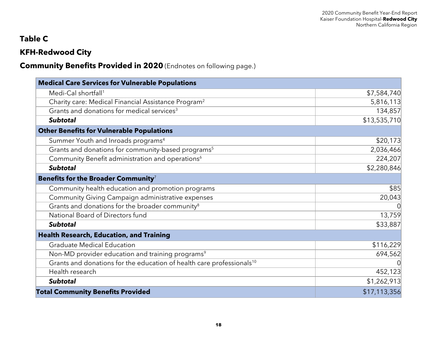# **Table C**

# **KFH-Redwood City**

# **Community Benefits Provided in 2020** (Endnotes on following page.)

| <b>Medical Care Services for Vulnerable Populations</b>                           |              |
|-----------------------------------------------------------------------------------|--------------|
| Medi-Cal shortfall <sup>1</sup>                                                   | \$7,584,740  |
| Charity care: Medical Financial Assistance Program <sup>2</sup>                   | 5,816,113    |
| Grants and donations for medical services <sup>3</sup>                            | 134,857      |
| <b>Subtotal</b>                                                                   | \$13,535,710 |
| <b>Other Benefits for Vulnerable Populations</b>                                  |              |
| Summer Youth and Inroads programs <sup>4</sup>                                    | \$20,173     |
| Grants and donations for community-based programs <sup>5</sup>                    | 2,036,466    |
| Community Benefit administration and operations <sup>6</sup>                      | 224,207      |
| <b>Subtotal</b>                                                                   | \$2,280,846  |
| Benefits for the Broader Community <sup>7</sup>                                   |              |
| Community health education and promotion programs                                 | \$85         |
| Community Giving Campaign administrative expenses                                 | 20,043       |
| Grants and donations for the broader community <sup>8</sup>                       | 0            |
| National Board of Directors fund                                                  | 13,759       |
| <b>Subtotal</b>                                                                   | \$33,887     |
| <b>Health Research, Education, and Training</b>                                   |              |
| <b>Graduate Medical Education</b>                                                 | \$116,229    |
| Non-MD provider education and training programs <sup>9</sup>                      | 694,562      |
| Grants and donations for the education of health care professionals <sup>10</sup> |              |
| Health research                                                                   | 452,123      |
| <b>Subtotal</b>                                                                   | \$1,262,913  |
| <b>Total Community Benefits Provided</b>                                          | \$17,113,356 |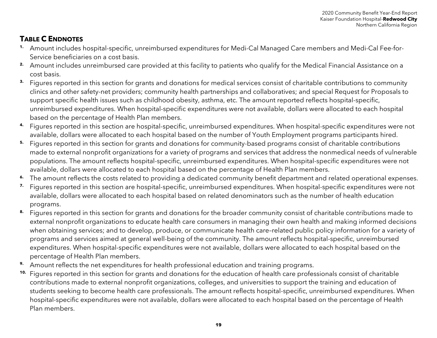# **TABLE C ENDNOTES**

- **1.** Amount includes hospital-specific, unreimbursed expenditures for Medi-Cal Managed Care members and Medi-Cal Fee-for-Service beneficiaries on a cost basis.
- **2.** Amount includes unreimbursed care provided at this facility to patients who qualify for the Medical Financial Assistance on a cost basis.
- **3.** Figures reported in this section for grants and donations for medical services consist of charitable contributions to community clinics and other safety-net providers; community health partnerships and collaboratives; and special Request for Proposals to support specific health issues such as childhood obesity, asthma, etc. The amount reported reflects hospital-specific, unreimbursed expenditures. When hospital-specific expenditures were not available, dollars were allocated to each hospital based on the percentage of Health Plan members.
- **4.** Figures reported in this section are hospital-specific, unreimbursed expenditures. When hospital-specific expenditures were not available, dollars were allocated to each hospital based on the number of Youth Employment programs participants hired.
- **5.** Figures reported in this section for grants and donations for community-based programs consist of charitable contributions made to external nonprofit organizations for a variety of programs and services that address the nonmedical needs of vulnerable populations. The amount reflects hospital-specific, unreimbursed expenditures. When hospital-specific expenditures were not available, dollars were allocated to each hospital based on the percentage of Health Plan members.
- **6.** The amount reflects the costs related to providing a dedicated community benefit department and related operational expenses.
- **7.** Figures reported in this section are hospital-specific, unreimbursed expenditures. When hospital-specific expenditures were not available, dollars were allocated to each hospital based on related denominators such as the number of health education programs.
- **8.** Figures reported in this section for grants and donations for the broader community consist of charitable contributions made to external nonprofit organizations to educate health care consumers in managing their own health and making informed decisions when obtaining services; and to develop, produce, or communicate health care–related public policy information for a variety of programs and services aimed at general well-being of the community. The amount reflects hospital-specific, unreimbursed expenditures. When hospital-specific expenditures were not available, dollars were allocated to each hospital based on the percentage of Health Plan members.
- **9.** Amount reflects the net expenditures for health professional education and training programs.
- **10.** Figures reported in this section for grants and donations for the education of health care professionals consist of charitable contributions made to external nonprofit organizations, colleges, and universities to support the training and education of students seeking to become health care professionals. The amount reflects hospital-specific, unreimbursed expenditures. When hospital-specific expenditures were not available, dollars were allocated to each hospital based on the percentage of Health Plan members.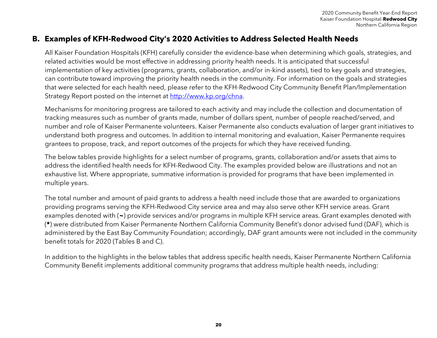## **B. Examples of KFH-Redwood City's 2020 Activities to Address Selected Health Needs**

All Kaiser Foundation Hospitals (KFH) carefully consider the evidence-base when determining which goals, strategies, and related activities would be most effective in addressing priority health needs. It is anticipated that successful implementation of key activities (programs, grants, collaboration, and/or in-kind assets), tied to key goals and strategies, can contribute toward improving the priority health needs in the community. For information on the goals and strategies that were selected for each health need, please refer to the KFH-Redwood City Community Benefit Plan/Implementation Strategy Report posted on the internet at [http://www.kp.org/chna.](http://www.kp.org/chna)

Mechanisms for monitoring progress are tailored to each activity and may include the collection and documentation of tracking measures such as number of grants made, number of dollars spent, number of people reached/served, and number and role of Kaiser Permanente volunteers. Kaiser Permanente also conducts evaluation of larger grant initiatives to understand both progress and outcomes. In addition to internal monitoring and evaluation, Kaiser Permanente requires grantees to propose, track, and report outcomes of the projects for which they have received funding.

The below tables provide highlights for a select number of programs, grants, collaboration and/or assets that aims to address the identified health needs for KFH-Redwood City. The examples provided below are illustrations and not an exhaustive list. Where appropriate, summative information is provided for programs that have been implemented in multiple years.

The total number and amount of paid grants to address a health need include those that are awarded to organizations providing programs serving the KFH-Redwood City service area and may also serve other KFH service areas. Grant examples denoted with (**~**) provide services and/or programs in multiple KFH service areas. Grant examples denoted with (**\***) were distributed from Kaiser Permanente Northern California Community Benefit's donor advised fund (DAF), which is administered by the East Bay Community Foundation; accordingly, DAF grant amounts were not included in the community benefit totals for 2020 (Tables B and C).

In addition to the highlights in the below tables that address specific health needs, Kaiser Permanente Northern California Community Benefit implements additional community programs that address multiple health needs, including: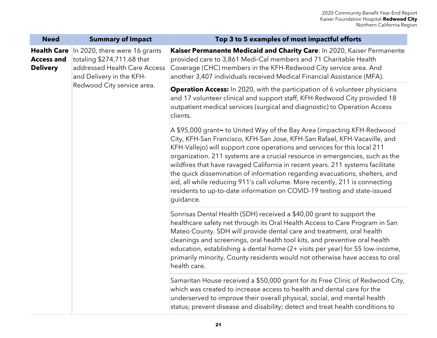| <b>Need</b>                                                | <b>Summary of Impact</b>                                                                                                                              | Top 3 to 5 examples of most impactful efforts                                                                                                                                                                                                                                                                                                                                                                                                                                                                                                                                                                                                             |
|------------------------------------------------------------|-------------------------------------------------------------------------------------------------------------------------------------------------------|-----------------------------------------------------------------------------------------------------------------------------------------------------------------------------------------------------------------------------------------------------------------------------------------------------------------------------------------------------------------------------------------------------------------------------------------------------------------------------------------------------------------------------------------------------------------------------------------------------------------------------------------------------------|
| <b>Health Care</b><br><b>Access and</b><br><b>Delivery</b> | In 2020, there were 16 grants<br>totaling \$274,711.68 that<br>addressed Health Care Access<br>and Delivery in the KFH-<br>Redwood City service area. | Kaiser Permanente Medicaid and Charity Care: In 2020, Kaiser Permanente<br>provided care to 3,861 Medi-Cal members and 71 Charitable Health<br>Coverage (CHC) members in the KFH-Redwood City service area. And<br>another 3,407 individuals received Medical Financial Assistance (MFA).                                                                                                                                                                                                                                                                                                                                                                 |
|                                                            |                                                                                                                                                       | <b>Operation Access:</b> In 2020, with the participation of 6 volunteer physicians<br>and 17 volunteer clinical and support staff, KFH-Redwood City provided 18<br>outpatient medical services (surgical and diagnostic) to Operation Access<br>clients.                                                                                                                                                                                                                                                                                                                                                                                                  |
|                                                            |                                                                                                                                                       | A \$95,000 grant~ to United Way of the Bay Area (impacting KFH-Redwood<br>City, KFH-San Francisco, KFH-San Jose, KFH-San Rafael, KFH-Vacaville, and<br>KFH-Vallejo) will support core operations and services for this local 211<br>organization. 211 systems are a crucial resource in emergencies, such as the<br>wildfires that have ravaged California in recent years. 211 systems facilitate<br>the quick dissemination of information regarding evacuations, shelters, and<br>aid, all while reducing 911's call volume. More recently, 211 is connecting<br>residents to up-to-date information on COVID-19 testing and state-issued<br>guidance. |
|                                                            |                                                                                                                                                       | Sonrisas Dental Health (SDH) received a \$40,00 grant to support the<br>healthcare safety net through its Oral Health Access to Care Program in San<br>Mateo County. SDH will provide dental care and treatment, oral health<br>cleanings and screenings, oral health tool kits, and preventive oral health<br>education, establishing a dental home (2+ visits per year) for 55 low-income,<br>primarily minority, County residents would not otherwise have access to oral<br>health care.                                                                                                                                                              |
|                                                            |                                                                                                                                                       | Samaritan House received a \$50,000 grant for its Free Clinic of Redwood City,<br>which was created to increase access to health and dental care for the<br>underserved to improve their overall physical, social, and mental health<br>status; prevent disease and disability; detect and treat health conditions to                                                                                                                                                                                                                                                                                                                                     |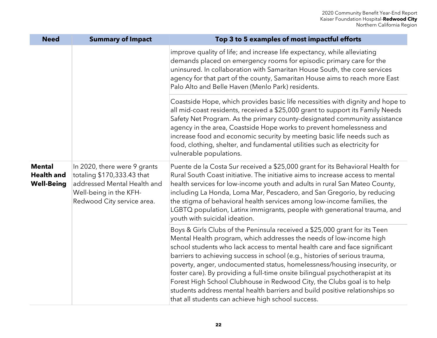| <b>Need</b>                                             | <b>Summary of Impact</b>                                                                                                                          | Top 3 to 5 examples of most impactful efforts                                                                                                                                                                                                                                                                                                                                                                                                                                                                                                                                                                                                                                                |
|---------------------------------------------------------|---------------------------------------------------------------------------------------------------------------------------------------------------|----------------------------------------------------------------------------------------------------------------------------------------------------------------------------------------------------------------------------------------------------------------------------------------------------------------------------------------------------------------------------------------------------------------------------------------------------------------------------------------------------------------------------------------------------------------------------------------------------------------------------------------------------------------------------------------------|
|                                                         |                                                                                                                                                   | improve quality of life; and increase life expectancy, while alleviating<br>demands placed on emergency rooms for episodic primary care for the<br>uninsured. In collaboration with Samaritan House South, the core services<br>agency for that part of the county, Samaritan House aims to reach more East<br>Palo Alto and Belle Haven (Menlo Park) residents.                                                                                                                                                                                                                                                                                                                             |
|                                                         |                                                                                                                                                   | Coastside Hope, which provides basic life necessities with dignity and hope to<br>all mid-coast residents, received a \$25,000 grant to support its Family Needs<br>Safety Net Program. As the primary county-designated community assistance<br>agency in the area, Coastside Hope works to prevent homelessness and<br>increase food and economic security by meeting basic life needs such as<br>food, clothing, shelter, and fundamental utilities such as electricity for<br>vulnerable populations.                                                                                                                                                                                    |
| <b>Mental</b><br><b>Health and</b><br><b>Well-Being</b> | In 2020, there were 9 grants<br>totaling \$170,333.43 that<br>addressed Mental Health and<br>Well-being in the KFH-<br>Redwood City service area. | Puente de la Costa Sur received a \$25,000 grant for its Behavioral Health for<br>Rural South Coast initiative. The initiative aims to increase access to mental<br>health services for low-income youth and adults in rural San Mateo County,<br>including La Honda, Loma Mar, Pescadero, and San Gregorio, by reducing<br>the stigma of behavioral health services among low-income families, the<br>LGBTQ population, Latinx immigrants, people with generational trauma, and<br>youth with suicidal ideation.                                                                                                                                                                            |
|                                                         |                                                                                                                                                   | Boys & Girls Clubs of the Peninsula received a \$25,000 grant for its Teen<br>Mental Health program, which addresses the needs of low-income high<br>school students who lack access to mental health care and face significant<br>barriers to achieving success in school (e.g., histories of serious trauma,<br>poverty, anger, undocumented status, homelessness/housing insecurity, or<br>foster care). By providing a full-time onsite bilingual psychotherapist at its<br>Forest High School Clubhouse in Redwood City, the Clubs goal is to help<br>students address mental health barriers and build positive relationships so<br>that all students can achieve high school success. |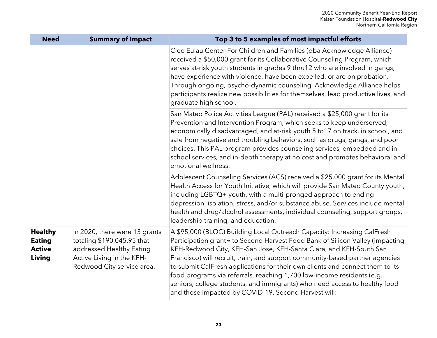| <b>Need</b>                                                | <b>Summary of Impact</b>                                                                                                                           | Top 3 to 5 examples of most impactful efforts                                                                                                                                                                                                                                                                                                                                                                                                                                                                                                                                                                     |
|------------------------------------------------------------|----------------------------------------------------------------------------------------------------------------------------------------------------|-------------------------------------------------------------------------------------------------------------------------------------------------------------------------------------------------------------------------------------------------------------------------------------------------------------------------------------------------------------------------------------------------------------------------------------------------------------------------------------------------------------------------------------------------------------------------------------------------------------------|
|                                                            |                                                                                                                                                    | Cleo Eulau Center For Children and Families (dba Acknowledge Alliance)<br>received a \$50,000 grant for its Collaborative Counseling Program, which<br>serves at-risk youth students in grades 9 thru12 who are involved in gangs,<br>have experience with violence, have been expelled, or are on probation.<br>Through ongoing, psycho-dynamic counseling, Acknowledge Alliance helps<br>participants realize new possibilities for themselves, lead productive lives, and<br>graduate high school.                                                                                                             |
|                                                            |                                                                                                                                                    | San Mateo Police Activities League (PAL) received a \$25,000 grant for its<br>Prevention and Intervention Program, which seeks to keep underserved,<br>economically disadvantaged, and at-risk youth 5 to17 on track, in school, and<br>safe from negative and troubling behaviors, such as drugs, gangs, and poor<br>choices. This PAL program provides counseling services, embedded and in-<br>school services, and in-depth therapy at no cost and promotes behavioral and<br>emotional wellness.                                                                                                             |
|                                                            |                                                                                                                                                    | Adolescent Counseling Services (ACS) received a \$25,000 grant for its Mental<br>Health Access for Youth Initiative, which will provide San Mateo County youth,<br>including LGBTQ+ youth, with a multi-pronged approach to ending<br>depression, isolation, stress, and/or substance abuse. Services include mental<br>health and drug/alcohol assessments, individual counseling, support groups,<br>leadership training, and education.                                                                                                                                                                        |
| <b>Healthy</b><br><b>Eating</b><br><b>Active</b><br>Living | In 2020, there were 13 grants<br>totaling \$190,045.95 that<br>addressed Healthy Eating<br>Active Living in the KFH-<br>Redwood City service area. | A \$95,000 (BLOC) Building Local Outreach Capacity: Increasing CalFresh<br>Participation grant ~ to Second Harvest Food Bank of Silicon Valley (impacting<br>KFH-Redwood City, KFH-San Jose, KFH-Santa Clara, and KFH-South San<br>Francisco) will recruit, train, and support community-based partner agencies<br>to submit CalFresh applications for their own clients and connect them to its<br>food programs via referrals, reaching 1,700 low-income residents (e.g.,<br>seniors, college students, and immigrants) who need access to healthy food<br>and those impacted by COVID-19. Second Harvest will: |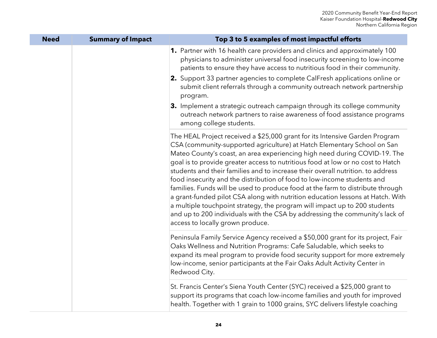| <b>Need</b> | <b>Summary of Impact</b> | Top 3 to 5 examples of most impactful efforts                                                                                                                                                                                                                                                                                                                                                                                                                                                                                                                                                                                                                                                                                                                                                                                                              |
|-------------|--------------------------|------------------------------------------------------------------------------------------------------------------------------------------------------------------------------------------------------------------------------------------------------------------------------------------------------------------------------------------------------------------------------------------------------------------------------------------------------------------------------------------------------------------------------------------------------------------------------------------------------------------------------------------------------------------------------------------------------------------------------------------------------------------------------------------------------------------------------------------------------------|
|             |                          | 1. Partner with 16 health care providers and clinics and approximately 100<br>physicians to administer universal food insecurity screening to low-income<br>patients to ensure they have access to nutritious food in their community.<br>2. Support 33 partner agencies to complete CalFresh applications online or<br>submit client referrals through a community outreach network partnership<br>program.<br>3. Implement a strategic outreach campaign through its college community<br>outreach network partners to raise awareness of food assistance programs<br>among college students.                                                                                                                                                                                                                                                            |
|             |                          | The HEAL Project received a \$25,000 grant for its Intensive Garden Program<br>CSA (community-supported agriculture) at Hatch Elementary School on San<br>Mateo County's coast, an area experiencing high need during COVID-19. The<br>goal is to provide greater access to nutritious food at low or no cost to Hatch<br>students and their families and to increase their overall nutrition. to address<br>food insecurity and the distribution of food to low-income students and<br>families. Funds will be used to produce food at the farm to distribute through<br>a grant-funded pilot CSA along with nutrition education lessons at Hatch. With<br>a multiple touchpoint strategy, the program will impact up to 200 students<br>and up to 200 individuals with the CSA by addressing the community's lack of<br>access to locally grown produce. |
|             |                          | Peninsula Family Service Agency received a \$50,000 grant for its project, Fair<br>Oaks Wellness and Nutrition Programs: Cafe Saludable, which seeks to<br>expand its meal program to provide food security support for more extremely<br>low-income, senior participants at the Fair Oaks Adult Activity Center in<br>Redwood City.                                                                                                                                                                                                                                                                                                                                                                                                                                                                                                                       |
|             |                          | St. Francis Center's Siena Youth Center (SYC) received a \$25,000 grant to<br>support its programs that coach low-income families and youth for improved<br>health. Together with 1 grain to 1000 grains, SYC delivers lifestyle coaching                                                                                                                                                                                                                                                                                                                                                                                                                                                                                                                                                                                                                  |